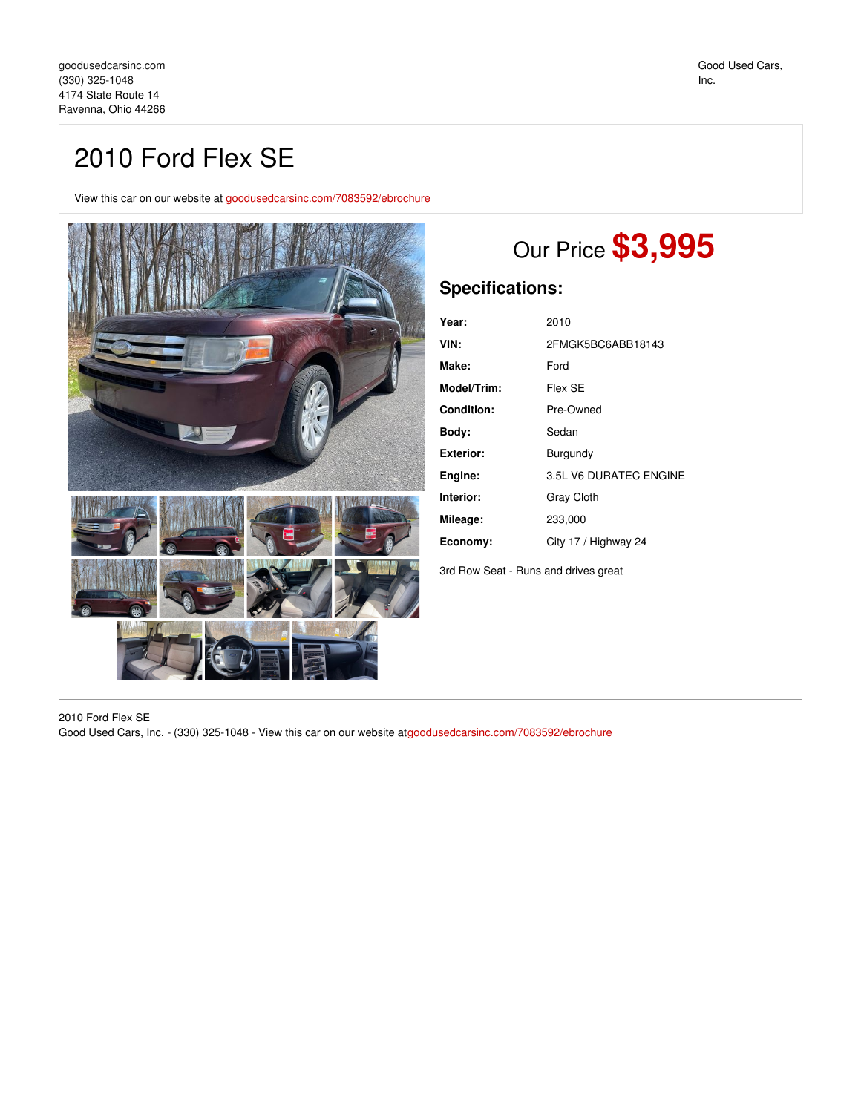## 2010 Ford Flex SE

View this car on our website at [goodusedcarsinc.com/7083592/ebrochure](https://goodusedcarsinc.com/vehicle/7083592/2010-ford-flex-se-ravenna-ohio-44266/7083592/ebrochure)



# Our Price **\$3,995**

### **Specifications:**

| Year:       | 2010                   |
|-------------|------------------------|
| VIN:        | 2FMGK5BC6ABB18143      |
| Make:       | Ford                   |
| Model/Trim: | Flex SE                |
| Condition:  | Pre-Owned              |
| Body:       | Sedan                  |
| Exterior:   | Burgundy               |
| Engine:     | 3.5L V6 DURATEC ENGINE |
| Interior:   | Gray Cloth             |
| Mileage:    | 233,000                |
| Economy:    | City 17 / Highway 24   |
|             |                        |

3rd Row Seat - Runs and drives great

2010 Ford Flex SE

Good Used Cars, Inc. - (330) 325-1048 - View this car on our website at[goodusedcarsinc.com/7083592/ebrochure](https://goodusedcarsinc.com/vehicle/7083592/2010-ford-flex-se-ravenna-ohio-44266/7083592/ebrochure)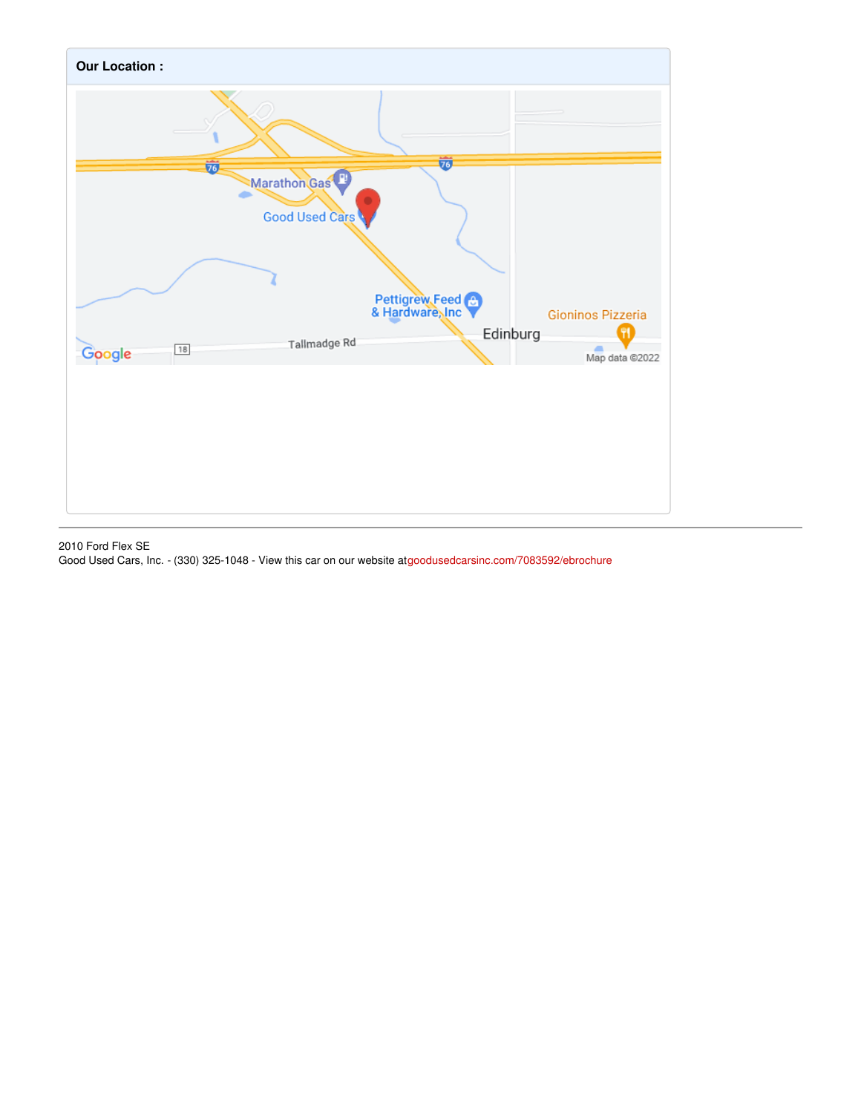

#### 2010 Ford Flex SE

Good Used Cars, Inc. - (330) 325-1048 - View this car on our website at[goodusedcarsinc.com/7083592/ebrochure](https://goodusedcarsinc.com/vehicle/7083592/2010-ford-flex-se-ravenna-ohio-44266/7083592/ebrochure)